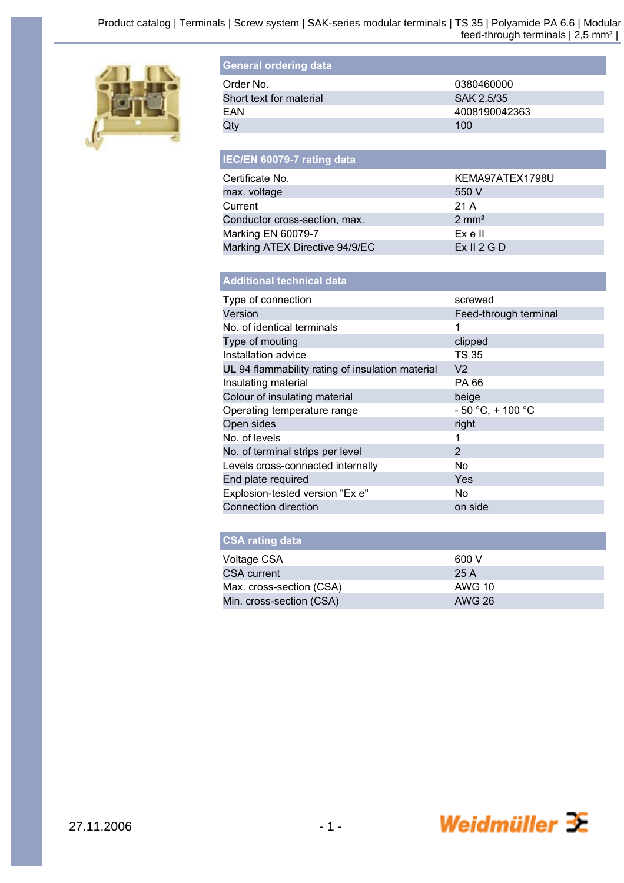

| <b>General ordering data</b> |               |
|------------------------------|---------------|
| Order No.                    | 0380460000    |
| Short text for material      | SAK 2.5/35    |
| FAN                          | 4008190042363 |
| Qty                          | 100           |

| IEC/EN 60079-7 rating data     |                  |
|--------------------------------|------------------|
| Certificate No.                | KEMA97ATEX1798U  |
| max. voltage                   | 550 V            |
| Current                        | 21 A             |
| Conductor cross-section, max.  | $2 \text{ mm}^2$ |
| Marking EN 60079-7             | Ex e II          |
| Marking ATEX Directive 94/9/EC | Ex II 2 G D      |

| <b>Additional technical data</b>                 |                       |
|--------------------------------------------------|-----------------------|
| Type of connection                               | screwed               |
| Version                                          | Feed-through terminal |
| No. of identical terminals                       | 1                     |
| Type of mouting                                  | clipped               |
| Installation advice                              | TS 35                 |
| UL 94 flammability rating of insulation material | V2                    |
| Insulating material                              | PA 66                 |
| Colour of insulating material                    | beige                 |
| Operating temperature range                      | $-50 °C$ , + 100 °C   |
| Open sides                                       | right                 |
| No. of levels                                    | 1                     |
| No. of terminal strips per level                 | $\overline{2}$        |
| Levels cross-connected internally                | No                    |
| End plate required                               | Yes                   |
| Explosion-tested version "Ex e"                  | No.                   |
| <b>Connection direction</b>                      | on side               |
|                                                  |                       |

| <b>CSA rating data</b> |  |  |
|------------------------|--|--|
|                        |  |  |
|                        |  |  |

| 600 V  |
|--------|
| 25 A   |
| AWG 10 |
| AWG 26 |
|        |

Weidmüller  $\mathcal{\mathcal{F}}$ 

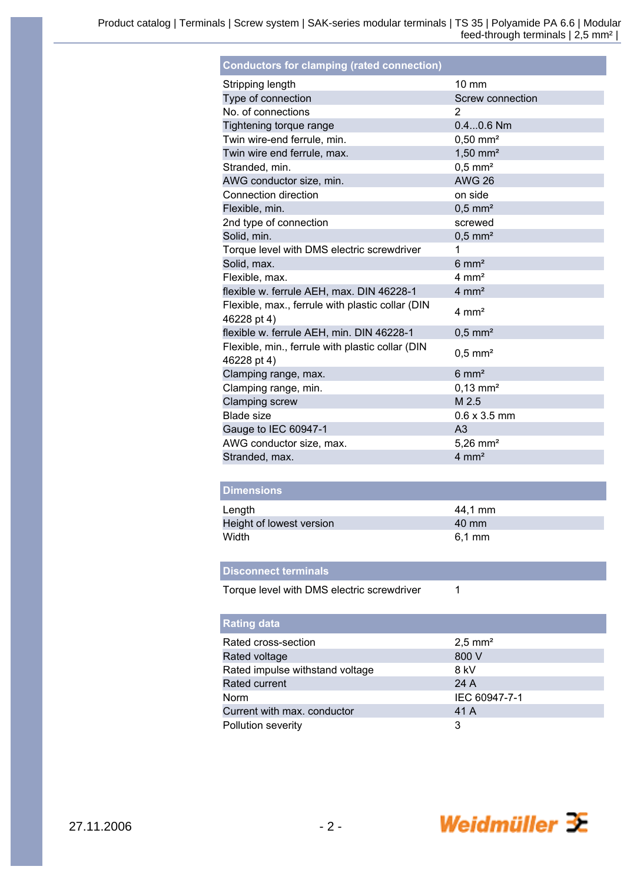| <b>Conductors for clamping (rated connection)</b>               |                        |
|-----------------------------------------------------------------|------------------------|
| Stripping length                                                | $10 \text{ mm}$        |
| Type of connection                                              | Screw connection       |
| No. of connections                                              | $\overline{2}$         |
| Tightening torque range                                         | $0.40.6$ Nm            |
| Twin wire-end ferrule, min.                                     | $0,50$ mm <sup>2</sup> |
| Twin wire end ferrule, max.                                     | $1,50$ mm <sup>2</sup> |
| Stranded, min.                                                  | $0.5$ mm <sup>2</sup>  |
| AWG conductor size, min.                                        | <b>AWG 26</b>          |
| Connection direction                                            | on side                |
| Flexible, min.                                                  | $0.5$ mm <sup>2</sup>  |
| 2nd type of connection                                          | screwed                |
| Solid, min.                                                     | $0,5$ mm <sup>2</sup>  |
| Torque level with DMS electric screwdriver                      | 1                      |
| Solid, max.                                                     | $6 \text{ mm}^2$       |
| Flexible, max.                                                  | $4 \text{ mm}^2$       |
| flexible w. ferrule AEH, max. DIN 46228-1                       | $4 \text{ mm}^2$       |
| Flexible, max., ferrule with plastic collar (DIN<br>46228 pt 4) | $4 \text{ mm}^2$       |
| flexible w. ferrule AEH, min. DIN 46228-1                       | $0.5$ mm <sup>2</sup>  |
| Flexible, min., ferrule with plastic collar (DIN<br>46228 pt 4) | $0.5$ mm <sup>2</sup>  |
| Clamping range, max.                                            | $6 \text{ mm}^2$       |
| Clamping range, min.                                            | $0.13$ mm <sup>2</sup> |
| <b>Clamping screw</b>                                           | M 2.5                  |
| Blade size                                                      | $0.6 \times 3.5$ mm    |
| Gauge to IEC 60947-1                                            | A <sub>3</sub>         |
| AWG conductor size, max.                                        | $5,26$ mm <sup>2</sup> |
| Stranded, max.                                                  | $4 \text{ mm}^2$       |

| <b>Dimensions</b>        |          |
|--------------------------|----------|
| Length                   | 44,1 mm  |
| Height of lowest version | 40 mm    |
| Width                    | $6,1$ mm |

 $\mathbf{1}$ 

## **Disconnect terminals**

Torque level with DMS electric screwdriver

| <b>Rating data</b>              |                      |
|---------------------------------|----------------------|
| Rated cross-section             | $2,5 \, \text{mm}^2$ |
| Rated voltage                   | 800 V                |
| Rated impulse withstand voltage | 8 kV                 |
| Rated current                   | 24 A                 |
| <b>Norm</b>                     | IEC 60947-7-1        |
| Current with max. conductor     | 41 A                 |
| Pollution severity              | 3                    |